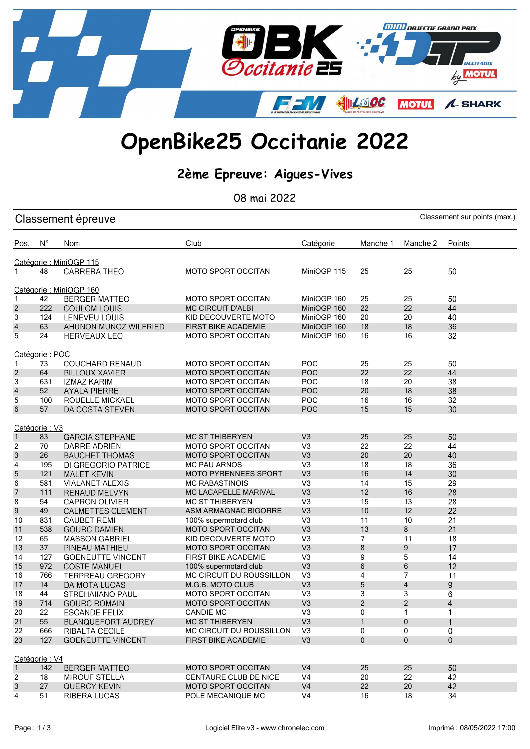

## OpenBike25 Occitanie 2022

### 2ème Epreuve: Aigues-Vives

08 mai 2022

| Classement sur points (max.)<br>Classement épreuve |                         |                                                     |                                                        |                                  |                |                |                |
|----------------------------------------------------|-------------------------|-----------------------------------------------------|--------------------------------------------------------|----------------------------------|----------------|----------------|----------------|
| Pos.                                               | $N^{\circ}$             | Nom                                                 | Club                                                   | Catégorie                        | Manche 1       | Manche 2       | Points         |
|                                                    | Catégorie : MiniOGP 115 |                                                     |                                                        |                                  |                |                |                |
| 1                                                  | 48                      | CARRERA THEO                                        | <b>MOTO SPORT OCCITAN</b>                              | MiniOGP 115                      | 25             | 25             | 50             |
|                                                    |                         | Catégorie : MiniOGP 160                             |                                                        |                                  |                |                |                |
| $\mathbf{1}$                                       | 42                      | <b>BERGER MATTEO</b>                                | <b>MOTO SPORT OCCITAN</b>                              | MiniOGP 160                      | 25             | 25             | 50             |
| $\overline{c}$                                     | 222                     | <b>COULOM LOUIS</b>                                 | <b>MC CIRCUIT D'ALBI</b>                               | MiniOGP 160                      | 22             | 22             | 44             |
| 3                                                  | 124                     | LENEVEU LOUIS                                       | KID DECOUVERTE MOTO                                    | MiniOGP 160                      | 20             | 20             | 40             |
| $\overline{\mathcal{A}}$                           | 63                      | AHUNON MUNOZ WILFRIED                               | <b>FIRST BIKE ACADEMIE</b>                             | MiniOGP 160                      | 18             | 18             | 36             |
| 5                                                  | 24                      | <b>HERVEAUX LEO</b>                                 | <b>MOTO SPORT OCCITAN</b>                              | MiniOGP 160                      | 16             | 16             | 32             |
|                                                    | Catégorie: POC          |                                                     |                                                        |                                  |                |                |                |
| $\mathbf{1}$                                       | 73                      | <b>COUCHARD RENAUD</b>                              | <b>MOTO SPORT OCCITAN</b>                              | POC                              | 25             | 25             | 50             |
| $\overline{c}$                                     | 64                      | <b>BILLOUX XAVIER</b>                               | <b>MOTO SPORT OCCITAN</b>                              | POC                              | 22             | 22             | 44             |
| 3                                                  | 631                     | IZMAZ KARIM                                         | MOTO SPORT OCCITAN                                     | POC                              | 18             | 20             | 38             |
| $\overline{\mathcal{L}}$                           | 52                      | <b>AYALA PIERRE</b>                                 | <b>MOTO SPORT OCCITAN</b>                              | POC                              | 20             | 18             | 38             |
| 5                                                  | 100                     | ROUELLE MICKAEL                                     | <b>MOTO SPORT OCCITAN</b>                              | POC                              | 16             | 16             | 32             |
| $6\phantom{1}6$                                    | 57                      | DA COSTA STEVEN                                     | MOTO SPORT OCCITAN                                     | <b>POC</b>                       | 15             | 15             | 30             |
|                                                    |                         |                                                     |                                                        |                                  |                |                |                |
|                                                    | Catégorie: V3           |                                                     |                                                        |                                  |                | 25             | 50             |
| $\mathbf{1}$                                       | 83                      | <b>GARCIA STEPHANE</b>                              | <b>MC ST THIBERYEN</b>                                 | V <sub>3</sub><br>V <sub>3</sub> | 25<br>22       | 22             | 44             |
| $\overline{2}$                                     | 70                      | DARRE ADRIEN                                        | <b>MOTO SPORT OCCITAN</b><br><b>MOTO SPORT OCCITAN</b> | V <sub>3</sub>                   | 20             | 20             | 40             |
| $\sqrt{3}$<br>$\overline{\mathbf{4}}$              | 26<br>195               | <b>BAUCHET THOMAS</b><br><b>DI GREGORIO PATRICE</b> | <b>MC PAU ARNOS</b>                                    | V <sub>3</sub>                   | 18             | 18             | 36             |
| 5                                                  | 121                     | <b>MALET KEVIN</b>                                  | <b>MOTO PYRENNEES SPORT</b>                            | V <sub>3</sub>                   | 16             | 14             | 30             |
| 6                                                  | 581                     | <b>VIALANET ALEXIS</b>                              | <b>MC RABASTINOIS</b>                                  | V <sub>3</sub>                   | 14             | 15             | 29             |
| $\overline{7}$                                     | 111                     | RENAUD MELVYN                                       | MC LACAPELLE MARIVAL                                   | V <sub>3</sub>                   | 12             | 16             | 28             |
| 8                                                  | 54                      | <b>CAPRON OLIVIER</b>                               | <b>MC ST THIBERYEN</b>                                 | V <sub>3</sub>                   | 15             | 13             | 28             |
| $9\,$                                              | 49                      | <b>CALMETTES CLEMENT</b>                            | ASM ARMAGNAC BIGORRE                                   | V <sub>3</sub>                   | 10             | 12             | 22             |
| 10                                                 | 831                     | <b>CAUBET REMI</b>                                  | 100% supermotard club                                  | V <sub>3</sub>                   | 11             | 10             | 21             |
| 11                                                 | 538                     | <b>GOURC DAMIEN</b>                                 | <b>MOTO SPORT OCCITAN</b>                              | V <sub>3</sub>                   | 13             | 8              | 21             |
| 12                                                 | 65                      | <b>MASSON GABRIEL</b>                               | KID DECOUVERTE MOTO                                    | V <sub>3</sub>                   | $\overline{7}$ | 11             | 18             |
| 13                                                 | 37                      | PINEAU MATHIEU                                      | <b>MOTO SPORT OCCITAN</b>                              | V <sub>3</sub>                   | 8              | 9              | 17             |
| 14                                                 | 127                     | <b>GOENEUTTE VINCENT</b>                            | <b>FIRST BIKE ACADEMIE</b>                             | V <sub>3</sub>                   | 9              | 5              | 14             |
| 15                                                 | 972                     | <b>COSTE MANUEL</b>                                 | 100% supermotard club                                  | V <sub>3</sub>                   | 6              | $\,6\,$        | 12             |
| 16                                                 | 766                     | <b>TERPREAU GREGORY</b>                             | MC CIRCUIT DU ROUSSILLON                               | V <sub>3</sub>                   | 4              | $\overline{7}$ | 11             |
| 17                                                 | 14                      | DA MOTA LUCAS                                       | M.G.B. MOTO CLUB                                       | V <sub>3</sub>                   | 5              | $\overline{4}$ | 9              |
| 18                                                 | 44                      | <b>STREHAIIANO PAUL</b>                             | <b>MOTO SPORT OCCITAN</b>                              | V <sub>3</sub>                   | 3              | 3              | 6              |
| 19                                                 | 714                     | <b>GOURC ROMAIN</b>                                 | <b>MOTO SPORT OCCITAN</b>                              | V <sub>3</sub>                   | $\overline{2}$ | $\overline{2}$ | 4              |
| 20                                                 | 22                      | <b>ESCANDE FELIX</b>                                | <b>CANDIE MC</b>                                       | V <sub>3</sub>                   | 0              | 1              | 1              |
| 21                                                 | 55                      | <b>BLANQUEFORT AUDREY</b>                           | <b>MC ST THIBERYEN</b>                                 | V <sub>3</sub>                   | $\mathbf{1}$   | $\mathbf{0}$   | $\mathbf{1}$   |
| 22                                                 | 666                     | <b>RIBALTA CECILE</b>                               | MC CIRCUIT DU ROUSSILLON                               | V <sub>3</sub>                   | 0              | 0              | $\mathbf 0$    |
| 23                                                 | 127                     | <b>GOENEUTTE VINCENT</b>                            | <b>FIRST BIKE ACADEMIE</b>                             | V <sub>3</sub>                   | 0              | $\mathbf{0}$   | $\overline{0}$ |
| Catégorie: V4                                      |                         |                                                     |                                                        |                                  |                |                |                |
| $\mathbf{1}$                                       | 142                     | <b>BERGER MATTEO</b>                                | <b>MOTO SPORT OCCITAN</b>                              | V <sub>4</sub>                   | 25             | 25             | 50             |
| $\overline{2}$                                     | 18                      | <b>MIROUF STELLA</b>                                | CENTAURE CLUB DE NICE                                  | V <sub>4</sub>                   | 20             | 22             | 42             |
| 3                                                  | 27                      | <b>QUERCY KEVIN</b>                                 | <b>MOTO SPORT OCCITAN</b>                              | V <sub>4</sub>                   | 22             | 20             | 42             |
| $\overline{4}$                                     | 51                      | <b>RIBERA LUCAS</b>                                 | POLE MECANIQUE MC                                      | V <sub>4</sub>                   | 16             | 18             | 34             |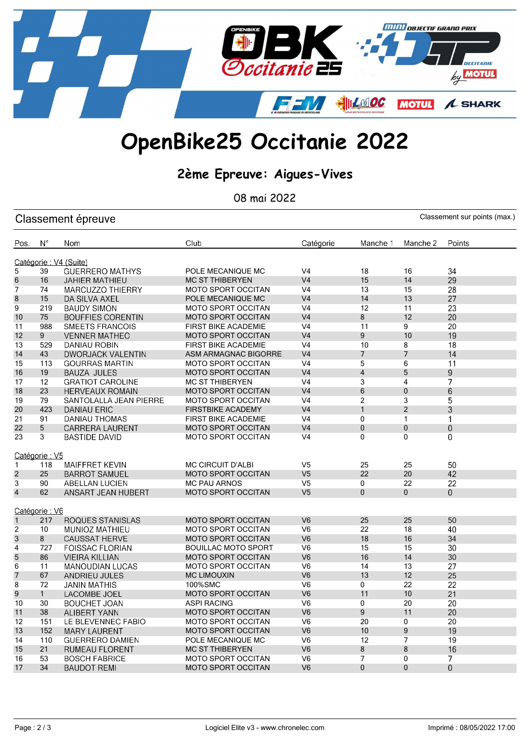

## OpenBike25 Occitanie 2022

### 2ème Epreuve: Aigues-Vives

08 mai 2022

| Classement sur points (max.)<br>Classement épreuve |               |                          |                            |                |                |                |                |
|----------------------------------------------------|---------------|--------------------------|----------------------------|----------------|----------------|----------------|----------------|
| Pos.                                               | $N^{\circ}$   | Nom                      | Club                       | Catégorie      | Manche 1       | Manche 2       | Points         |
|                                                    |               | Catégorie: V4 (Suite)    |                            |                |                |                |                |
| 5                                                  | 39            | <b>GUERRERO MATHYS</b>   | POLE MECANIQUE MC          | V <sub>4</sub> | 18             | 16             | 34             |
| 6                                                  | 16            | JAHIER MATHIEU           | <b>MC ST THIBERYEN</b>     | V <sub>4</sub> | 15             | 14             | 29             |
| $\overline{7}$                                     | 74            | <b>MARCUZZO THIERRY</b>  | MOTO SPORT OCCITAN         | V <sub>4</sub> | 13             | 15             | 28             |
| 8                                                  | 15            | DA SILVA AXEL            | POLE MECANIQUE MC          | V <sub>4</sub> | 14             | 13             | 27             |
| $\overline{9}$                                     | 219           | <b>BAUDY SIMON</b>       | <b>MOTO SPORT OCCITAN</b>  | V <sub>4</sub> | 12             | 11             | 23             |
| 10                                                 | 75            | <b>BOUFFIES CORENTIN</b> | <b>MOTO SPORT OCCITAN</b>  | V <sub>4</sub> | 8              | 12             | 20             |
| 11                                                 | 988           | SMEETS FRANCOIS          | <b>FIRST BIKE ACADEMIE</b> | V <sub>4</sub> | 11             | $\mathsf g$    | 20             |
| 12                                                 | 9             | <b>VENNER MATHEO</b>     | <b>MOTO SPORT OCCITAN</b>  | V <sub>4</sub> | 9              | 10             | 19             |
| 13                                                 | 529           | DANIAU ROBIN             | <b>FIRST BIKE ACADEMIE</b> | V <sub>4</sub> | 10             | 8              | 18             |
| 14                                                 | 43            | <b>DWORJACK VALENTIN</b> | ASM ARMAGNAC BIGORRE       | V <sub>4</sub> | 7              | $\overline{7}$ | 14             |
| 15                                                 | 113           | <b>GOURRAS MARTIN</b>    | <b>MOTO SPORT OCCITAN</b>  | V <sub>4</sub> | 5              | 6              | 11             |
| 16                                                 | 19            | <b>BAUZA JULES</b>       | <b>MOTO SPORT OCCITAN</b>  | V <sub>4</sub> | $\overline{4}$ | 5              | 9              |
| 17                                                 | 12            | <b>GRATIOT CAROLINE</b>  | <b>MC ST THIBERYEN</b>     | V <sub>4</sub> | 3              | 4              | $\overline{7}$ |
| 18                                                 | 23            | <b>HERVEAUX ROMAIN</b>   | <b>MOTO SPORT OCCITAN</b>  | V <sub>4</sub> | 6              | $\Omega$       | 6              |
| 19                                                 | 79            | SANTOLALLA JEAN PIERRE   | <b>MOTO SPORT OCCITAN</b>  | V <sub>4</sub> | $\overline{2}$ | 3              | 5              |
| 20                                                 | 423           | <b>DANIAU ERIC</b>       | <b>FIRSTBIKE ACADEMY</b>   | V <sub>4</sub> | $\mathbf{1}$   | $\overline{2}$ | 3              |
| 21                                                 | 91            | DANIAU THOMAS            | <b>FIRST BIKE ACADEMIE</b> | V <sub>4</sub> | 0              | $\mathbf{1}$   | $\mathbf{1}$   |
| 22                                                 | 5             | CARRERA LAURENT          | <b>MOTO SPORT OCCITAN</b>  | V <sub>4</sub> | $\mathbf 0$    | $\mathbf{0}$   | 0              |
| 23                                                 | 3             | BASTIDE DAVID            | <b>MOTO SPORT OCCITAN</b>  | V <sub>4</sub> | 0              | $\Omega$       | 0              |
|                                                    |               |                          |                            |                |                |                |                |
|                                                    | Catégorie: V5 |                          |                            |                |                |                |                |
| 1                                                  | 118           | <b>MAIFFRET KEVIN</b>    | MC CIRCUIT D'ALBI          | V <sub>5</sub> | 25             | 25             | 50             |
| $\overline{c}$                                     | 25            | <b>BARROT SAMUEL</b>     | <b>MOTO SPORT OCCITAN</b>  | V <sub>5</sub> | 22             | 20             | 42             |
| 3                                                  | 90            | <b>ABELLAN LUCIEN</b>    | <b>MC PAU ARNOS</b>        | V <sub>5</sub> | 0              | 22             | 22             |
| $\overline{\mathbf{4}}$                            | 62            | ANSART JEAN HUBERT       | <b>MOTO SPORT OCCITAN</b>  | V <sub>5</sub> | $\mathbf{0}$   | $\mathbf{0}$   | $\overline{0}$ |
|                                                    | Catégorie: V6 |                          |                            |                |                |                |                |
| $\mathbf{1}$                                       | 217           | ROQUES STANISLAS         | MOTO SPORT OCCITAN         | V <sub>6</sub> | 25             | 25             | 50             |
| 2                                                  | 10            | <b>MUNIOZ MATHIEU</b>    | <b>MOTO SPORT OCCITAN</b>  | V <sub>6</sub> | 22             | 18             | 40             |
| 3                                                  | 8             | <b>CAUSSAT HERVE</b>     | <b>MOTO SPORT OCCITAN</b>  | V <sub>6</sub> | 18             | 16             | 34             |
| $\overline{\mathbf{4}}$                            | 727           | <b>FOISSAC FLORIAN</b>   | <b>BOUILLAC MOTO SPORT</b> | V <sub>6</sub> | 15             | 15             | 30             |
| 5                                                  | 86            | VIEIRA KILLIAN           | <b>MOTO SPORT OCCITAN</b>  | V <sub>6</sub> | 16             | 14             | 30             |
| 6                                                  | 11            | <b>MANOUDIAN LUCAS</b>   | <b>MOTO SPORT OCCITAN</b>  | V <sub>6</sub> | 14             | 13             | 27             |
| $\overline{7}$                                     | 67            | ANDRIEU JULES            | <b>MC LIMOUXIN</b>         | V <sub>6</sub> | 13             | 12             | 25             |
| 8                                                  | 72            | <b>JANIN MATHIS</b>      | 100%SMC                    | V <sub>6</sub> | 0              | 22             | 22             |
| 9                                                  | $\mathbf{1}$  | LACOMBE JOEL             | <b>MOTO SPORT OCCITAN</b>  | V <sub>6</sub> | 11             | 10             | 21             |
| 10                                                 | 30            | <b>BOUCHET JOAN</b>      | <b>ASPI RACING</b>         | V <sub>6</sub> | 0              | 20             | 20             |
| 11                                                 | 38            | <b>ALIBERT YANN</b>      | MOTO SPORT OCCITAN         | V <sub>6</sub> | 9              | 11             | 20             |
| 12                                                 | 151           | LE BLEVENNEC FABIO       | MOTO SPORT OCCITAN         | V <sub>6</sub> | 20             | $\Omega$       | 20             |
| 13                                                 | 152           | <b>MARY LAURENT</b>      | MOTO SPORT OCCITAN         | V <sub>6</sub> | 10             | 9              | 19             |
| 14                                                 | 110           | <b>GUERRERO DAMIEN</b>   | POLE MECANIQUE MC          | V <sub>6</sub> | 12             | $\overline{7}$ | 19             |
| 15                                                 | 21            | RUMEAU FLORENT           | <b>MC ST THIBERYEN</b>     | V <sub>6</sub> | 8              | 8              | 16             |
| 16                                                 | 53            | <b>BOSCH FABRICE</b>     | <b>MOTO SPORT OCCITAN</b>  | V <sub>6</sub> | $\overline{7}$ | $\mathbf 0$    | 7              |
| 17                                                 | 34            | <b>BAUDOT REMI</b>       | <b>MOTO SPORT OCCITAN</b>  | V <sub>6</sub> | $\mathbf{0}$   | $\mathbf{0}$   | 0              |
|                                                    |               |                          |                            |                |                |                |                |